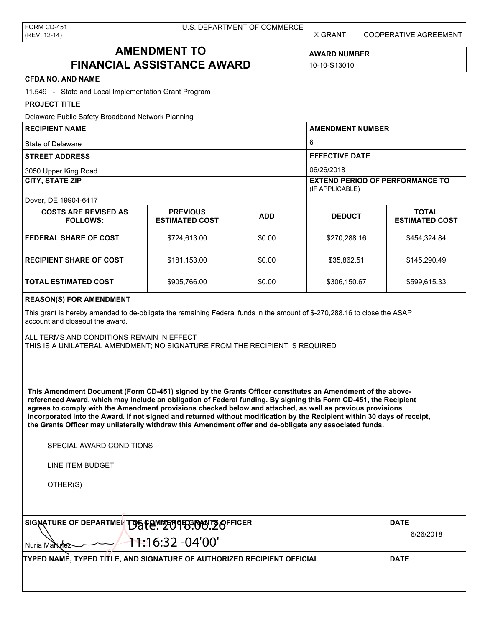X GRANT COOPERATIVE AGREEMENT

# **AMENDMENT TO FINANCIAL ASSISTANCE AWARD**

**AWARD NUMBER** 10-10-S13010

| <b>CFDA NO. AND NAME</b>                                                                                                                                                                                                                                                                                                                                                                                                                                                                                                                                                          |                                          |            |                                                           |                                       |  |  |
|-----------------------------------------------------------------------------------------------------------------------------------------------------------------------------------------------------------------------------------------------------------------------------------------------------------------------------------------------------------------------------------------------------------------------------------------------------------------------------------------------------------------------------------------------------------------------------------|------------------------------------------|------------|-----------------------------------------------------------|---------------------------------------|--|--|
| 11.549 - State and Local Implementation Grant Program                                                                                                                                                                                                                                                                                                                                                                                                                                                                                                                             |                                          |            |                                                           |                                       |  |  |
| <b>PROJECT TITLE</b>                                                                                                                                                                                                                                                                                                                                                                                                                                                                                                                                                              |                                          |            |                                                           |                                       |  |  |
| Delaware Public Safety Broadband Network Planning                                                                                                                                                                                                                                                                                                                                                                                                                                                                                                                                 |                                          |            |                                                           |                                       |  |  |
| <b>RECIPIENT NAME</b>                                                                                                                                                                                                                                                                                                                                                                                                                                                                                                                                                             |                                          |            | <b>AMENDMENT NUMBER</b>                                   |                                       |  |  |
| State of Delaware                                                                                                                                                                                                                                                                                                                                                                                                                                                                                                                                                                 |                                          |            | 6                                                         |                                       |  |  |
| <b>STREET ADDRESS</b>                                                                                                                                                                                                                                                                                                                                                                                                                                                                                                                                                             |                                          |            | <b>EFFECTIVE DATE</b><br>06/26/2018                       |                                       |  |  |
| 3050 Upper King Road                                                                                                                                                                                                                                                                                                                                                                                                                                                                                                                                                              |                                          |            |                                                           |                                       |  |  |
| <b>CITY, STATE ZIP</b>                                                                                                                                                                                                                                                                                                                                                                                                                                                                                                                                                            |                                          |            | <b>EXTEND PERIOD OF PERFORMANCE TO</b><br>(IF APPLICABLE) |                                       |  |  |
| Dover, DE 19904-6417                                                                                                                                                                                                                                                                                                                                                                                                                                                                                                                                                              |                                          |            |                                                           |                                       |  |  |
| <b>COSTS ARE REVISED AS</b><br><b>FOLLOWS:</b>                                                                                                                                                                                                                                                                                                                                                                                                                                                                                                                                    | <b>PREVIOUS</b><br><b>ESTIMATED COST</b> | <b>ADD</b> | <b>DEDUCT</b>                                             | <b>TOTAL</b><br><b>ESTIMATED COST</b> |  |  |
| <b>FEDERAL SHARE OF COST</b>                                                                                                                                                                                                                                                                                                                                                                                                                                                                                                                                                      | \$724,613.00                             | \$0.00     | \$270,288.16                                              | \$454,324.84                          |  |  |
| <b>RECIPIENT SHARE OF COST</b>                                                                                                                                                                                                                                                                                                                                                                                                                                                                                                                                                    | \$181,153.00                             | \$0.00     | \$35,862.51                                               | \$145,290.49                          |  |  |
| <b>TOTAL ESTIMATED COST</b>                                                                                                                                                                                                                                                                                                                                                                                                                                                                                                                                                       | \$905,766.00                             | \$0.00     | \$306,150.67                                              | \$599,615.33                          |  |  |
| <b>REASON(S) FOR AMENDMENT</b>                                                                                                                                                                                                                                                                                                                                                                                                                                                                                                                                                    |                                          |            |                                                           |                                       |  |  |
| This grant is hereby amended to de-obligate the remaining Federal funds in the amount of \$-270,288.16 to close the ASAP<br>account and closeout the award.                                                                                                                                                                                                                                                                                                                                                                                                                       |                                          |            |                                                           |                                       |  |  |
| ALL TERMS AND CONDITIONS REMAIN IN EFFECT<br>THIS IS A UNILATERAL AMENDMENT; NO SIGNATURE FROM THE RECIPIENT IS REQUIRED                                                                                                                                                                                                                                                                                                                                                                                                                                                          |                                          |            |                                                           |                                       |  |  |
|                                                                                                                                                                                                                                                                                                                                                                                                                                                                                                                                                                                   |                                          |            |                                                           |                                       |  |  |
|                                                                                                                                                                                                                                                                                                                                                                                                                                                                                                                                                                                   |                                          |            |                                                           |                                       |  |  |
|                                                                                                                                                                                                                                                                                                                                                                                                                                                                                                                                                                                   |                                          |            |                                                           |                                       |  |  |
| This Amendment Document (Form CD-451) signed by the Grants Officer constitutes an Amendment of the above-<br>referenced Award, which may include an obligation of Federal funding. By signing this Form CD-451, the Recipient<br>agrees to comply with the Amendment provisions checked below and attached, as well as previous provisions<br>incorporated into the Award. If not signed and returned without modification by the Recipient within 30 days of receipt,<br>the Grants Officer may unilaterally withdraw this Amendment offer and de-obligate any associated funds. |                                          |            |                                                           |                                       |  |  |
| SPECIAL AWARD CONDITIONS                                                                                                                                                                                                                                                                                                                                                                                                                                                                                                                                                          |                                          |            |                                                           |                                       |  |  |
| <b>LINE ITEM BUDGET</b>                                                                                                                                                                                                                                                                                                                                                                                                                                                                                                                                                           |                                          |            |                                                           |                                       |  |  |
| OTHER(S)                                                                                                                                                                                                                                                                                                                                                                                                                                                                                                                                                                          |                                          |            |                                                           |                                       |  |  |
|                                                                                                                                                                                                                                                                                                                                                                                                                                                                                                                                                                                   |                                          |            |                                                           |                                       |  |  |
| SIGNATURE OF DEPARTMENTO5 FEMMERS COOP TO GFFICER                                                                                                                                                                                                                                                                                                                                                                                                                                                                                                                                 | <b>DATE</b>                              |            |                                                           |                                       |  |  |
| <del>11:</del> 16:32 -04'00'<br>Nuria Markine2                                                                                                                                                                                                                                                                                                                                                                                                                                                                                                                                    | 6/26/2018                                |            |                                                           |                                       |  |  |
| TYPED NAME, TYPED TITLE, AND SIGNATURE OF AUTHORIZED RECIPIENT OFFICIAL                                                                                                                                                                                                                                                                                                                                                                                                                                                                                                           | <b>DATE</b>                              |            |                                                           |                                       |  |  |